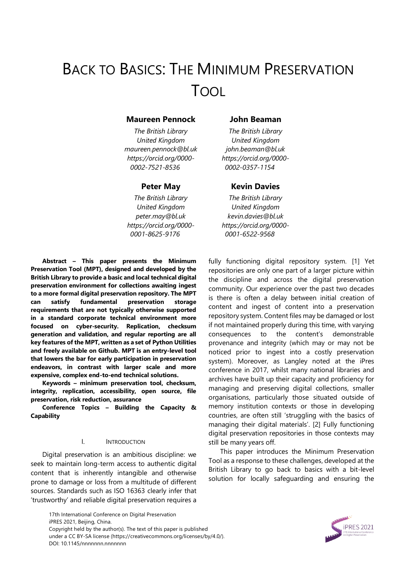# BACK TO BASICS: THE MINIMUM PRESERVATION TOOL

## **Maureen Pennock John Beaman**

*The British Library United Kingdom maureen.pennock@bl.uk https://orcid.org/0000- 0002-7521-8536*

*The British Library United Kingdom peter.may@bl.uk https://orcid.org/0000- 0001-8625-9176*

**Abstract – This paper presents the Minimum Preservation Tool (MPT), designed and developed by the British Library to provide a basic and local technical digital preservation environment for collections awaiting ingest to a more formal digital preservation repository. The MPT can satisfy fundamental preservation storage requirements that are not typically otherwise supported in a standard corporate technical environment more focused on cyber-security. Replication, checksum generation and validation, and regular reporting are all key features of the MPT, written as a set of Python Utilities and freely available on Github. MPT is an entry-level tool that lowers the bar for early participation in preservation endeavors, in contrast with larger scale and more expensive, complex end-to-end technical solutions.**

**Keywords – minimum preservation tool, checksum, integrity, replication, accessibility, open source, file preservation, risk reduction, assurance**

**Conference Topics – Building the Capacity & Capability** 

#### I. INTRODUCTION

Digital preservation is an ambitious discipline: we seek to maintain long-term access to authentic digital content that is inherently intangible and otherwise prone to damage or loss from a multitude of different sources. Standards such as ISO 16363 clearly infer that 'trustworthy' and reliable digital preservation requires a

> 17th International Conference on Digital Preservation iPRES 2021, Beijing, China. Copyright held by the author(s). The text of this paper is published under a CC BY-SA license (https://creativecommons.org/licenses/by/4.0/). DOI: 10.1145/nnnnnnn.nnnnnnn

*The British Library United Kingdom john.beaman@bl.uk https://orcid.org/0000- 0002-0357-1154*

# **Peter May Kevin Davies**

*The British Library United Kingdom kevin.davies@bl.uk https://orcid.org/0000- 0001-6522-9568*

fully functioning digital repository system. [1] Yet repositories are only one part of a larger picture within the discipline and across the digital preservation community. Our experience over the past two decades is there is often a delay between initial creation of content and ingest of content into a preservation repository system. Content files may be damaged or lost if not maintained properly during this time, with varying consequences to the content's demonstrable provenance and integrity (which may or may not be noticed prior to ingest into a costly preservation system). Moreover, as Langley noted at the iPres conference in 2017, whilst many national libraries and archives have built up their capacity and proficiency for managing and preserving digital collections, smaller organisations, particularly those situated outside of memory institution contexts or those in developing countries, are often still 'struggling with the basics of managing their digital materials'. [2] Fully functioning digital preservation repositories in those contexts may still be many years off.

This paper introduces the Minimum Preservation Tool as a response to these challenges, developed at the British Library to go back to basics with a bit-level solution for locally safeguarding and ensuring the

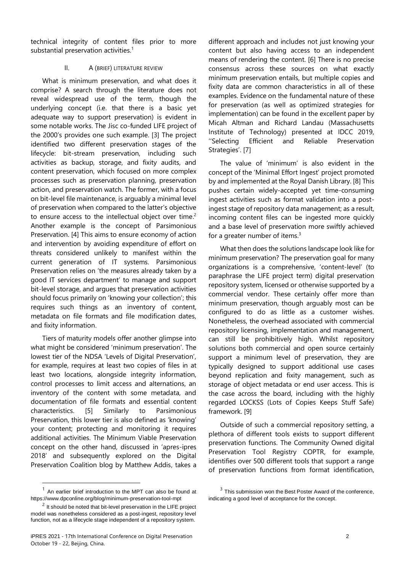technical integrity of content files prior to more substantial preservation activities.<sup>1</sup>

# II. A (BRIEF) LITERATURE REVIEW

What is minimum preservation, and what does it comprise? A search through the literature does not reveal widespread use of the term, though the underlying concept (i.e. that there is a basic yet adequate way to support preservation) is evident in some notable works. The Jisc co-funded LIFE project of the 2000's provides one such example. [3] The project identified two different preservation stages of the lifecycle: bit-stream preservation, including such activities as backup, storage, and fixity audits, and content preservation, which focused on more complex processes such as preservation planning, preservation action, and preservation watch. The former, with a focus on bit-level file maintenance, is arguably a minimal level of preservation when compared to the latter's objective to ensure access to the intellectual object over time.<sup>2</sup> Another example is the concept of Parsimonious Preservation. [4] This aims to ensure economy of action and intervention by avoiding expenditure of effort on threats considered unlikely to manifest within the current generation of IT systems. Parsimonious Preservation relies on 'the measures already taken by a good IT services department' to manage and support bit-level storage, and argues that preservation activities should focus primarily on 'knowing your collection'; this requires such things as an inventory of content, metadata on file formats and file modification dates, and fixity information.

Tiers of maturity models offer another glimpse into what might be considered 'minimum preservation'. The lowest tier of the NDSA 'Levels of Digital Preservation', for example, requires at least two copies of files in at least two locations, alongside integrity information, control processes to limit access and alternations, an inventory of the content with some metadata, and documentation of file formats and essential content characteristics. [5] Similarly to Parsimonious Preservation, this lower tier is also defined as 'knowing' your content; protecting and monitoring it requires additional activities. The Minimum Viable Preservation concept on the other hand, discussed in 'apres-ipres 2018' and subsequently explored on the Digital Preservation Coalition blog by Matthew Addis, takes a

l

different approach and includes not just knowing your content but also having access to an independent means of rendering the content. [6] There is no precise consensus across these sources on what exactly minimum preservation entails, but multiple copies and fixity data are common characteristics in all of these examples. Evidence on the fundamental nature of these for preservation (as well as optimized strategies for implementation) can be found in the excellent paper by Micah Altman and Richard Landau (Massachusetts Institute of Technology) presented at IDCC 2019, ''Selecting Efficient and Reliable Preservation Strategies'. [7]

The value of 'minimum' is also evident in the concept of the 'Minimal Effort Ingest' project promoted by and implemented at the Royal Danish Library. [8] This pushes certain widely-accepted yet time-consuming ingest activities such as format validation into a postingest stage of repository data management; as a result, incoming content files can be ingested more quickly and a base level of preservation more swiftly achieved for a greater number of items. $3$ 

What then does the solutions landscape look like for minimum preservation? The preservation goal for many organizations is a comprehensive, 'content-level' (to paraphrase the LIFE project term) digital preservation repository system, licensed or otherwise supported by a commercial vendor. These certainly offer more than minimum preservation, though arguably most can be configured to do as little as a customer wishes. Nonetheless, the overhead associated with commercial repository licensing, implementation and management, can still be prohibitively high. Whilst repository solutions both commercial and open source certainly support a minimum level of preservation, they are typically designed to support additional use cases beyond replication and fixity management, such as storage of object metadata or end user access. This is the case across the board, including with the highly regarded LOCKSS (Lots of Copies Keeps Stuff Safe) framework. [9]

Outside of such a commercial repository setting, a plethora of different tools exists to support different preservation functions. The Community Owned digital Preservation Tool Registry COPTR, for example, identifies over 500 different tools that support a range of preservation functions from format identification,

<sup>1</sup> An earlier brief introduction to the MPT can also be found at https://www.dpconline.org/blog/minimum-preservation-tool-mpt

 $2$  It should be noted that bit-level preservation in the LIFE project model was nonetheless considered as a post-ingest, repository level function, not as a lifecycle stage independent of a repository system.

 $3$  This submission won the Best Poster Award of the conference, indicating a good level of acceptance for the concept.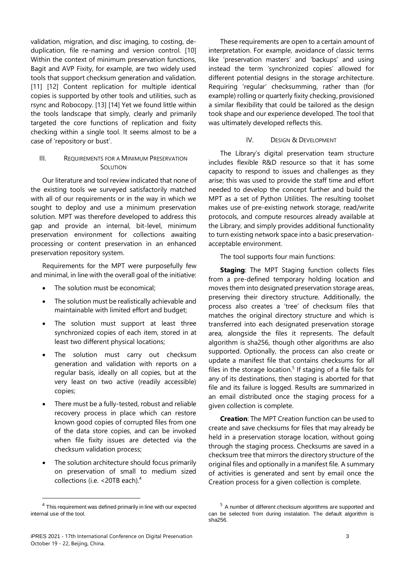validation, migration, and disc imaging, to costing, deduplication, file re-naming and version control. [10] Within the context of minimum preservation functions, Bagit and AVP Fixity, for example, are two widely used tools that support checksum generation and validation. [11] [12] Content replication for multiple identical copies is supported by other tools and utilities, such as rsync and Robocopy. [13] [14] Yet we found little within the tools landscape that simply, clearly and primarily targeted the core functions of replication and fixity checking within a single tool. It seems almost to be a case of 'repository or bust'.

# III. REQUIREMENTS FOR A MINIMUM PRESERVATION **SOLUTION**

Our literature and tool review indicated that none of the existing tools we surveyed satisfactorily matched with all of our requirements or in the way in which we sought to deploy and use a minimum preservation solution. MPT was therefore developed to address this gap and provide an internal, bit-level, minimum preservation environment for collections awaiting processing or content preservation in an enhanced preservation repository system.

Requirements for the MPT were purposefully few and minimal, in line with the overall goal of the initiative:

- The solution must be economical;
- The solution must be realistically achievable and maintainable with limited effort and budget;
- The solution must support at least three synchronized copies of each item, stored in at least two different physical locations;
- The solution must carry out checksum generation and validation with reports on a regular basis, ideally on all copies, but at the very least on two active (readily accessible) copies;
- There must be a fully-tested, robust and reliable recovery process in place which can restore known good copies of corrupted files from one of the data store copies, and can be invoked when file fixity issues are detected via the checksum validation process;
- The solution architecture should focus primarily on preservation of small to medium sized collections (i.e. <20TB each).<sup>4</sup>

l

These requirements are open to a certain amount of interpretation. For example, avoidance of classic terms like 'preservation masters' and 'backups' and using instead the term 'synchronized copies' allowed for different potential designs in the storage architecture. Requiring 'regular' checksumming, rather than (for example) rolling or quarterly fixity checking, provisioned a similar flexibility that could be tailored as the design took shape and our experience developed. The tool that was ultimately developed reflects this.

## IV. DESIGN & DEVELOPMENT

The Library's digital preservation team structure includes flexible R&D resource so that it has some capacity to respond to issues and challenges as they arise; this was used to provide the staff time and effort needed to develop the concept further and build the MPT as a set of Python Utilities. The resulting toolset makes use of pre-existing network storage, read/write protocols, and compute resources already available at the Library, and simply provides additional functionality to turn existing network space into a basic preservationacceptable environment.

The tool supports four main functions:

**Staging:** The MPT Staging function collects files from a pre-defined temporary holding location and moves them into designated preservation storage areas, preserving their directory structure. Additionally, the process also creates a 'tree' of checksum files that matches the original directory structure and which is transferred into each designated preservation storage area, alongside the files it represents. The default algorithm is sha256, though other algorithms are also supported. Optionally, the process can also create or update a manifest file that contains checksums for all files in the storage location.<sup>5</sup> If staging of a file fails for any of its destinations, then staging is aborted for that file and its failure is logged. Results are summarized in an email distributed once the staging process for a given collection is complete.

**Creation**: The MPT Creation function can be used to create and save checksums for files that may already be held in a preservation storage location, without going through the staging process. Checksums are saved in a checksum tree that mirrors the directory structure of the original files and optionally in a manifest file. A summary of activities is generated and sent by email once the Creation process for a given collection is complete.

 $4$  This requirement was defined primarily in line with our expected internal use of the tool.

<sup>&</sup>lt;sup>5</sup> A number of different checksum algorithms are supported and can be selected from during instalation. The default algorithm is sha256.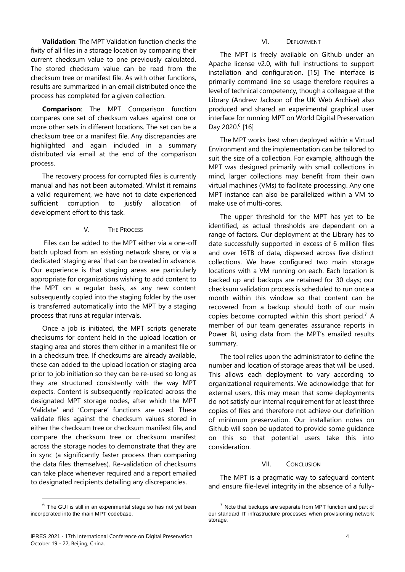**Validation**: The MPT Validation function checks the fixity of all files in a storage location by comparing their current checksum value to one previously calculated. The stored checksum value can be read from the checksum tree or manifest file. As with other functions, results are summarized in an email distributed once the process has completed for a given collection.

**Comparison**: The MPT Comparison function compares one set of checksum values against one or more other sets in different locations. The set can be a checksum tree or a manifest file. Any discrepancies are highlighted and again included in a summary distributed via email at the end of the comparison process.

The recovery process for corrupted files is currently manual and has not been automated. Whilst it remains a valid requirement, we have not to date experienced sufficient corruption to justify allocation of development effort to this task.

## V. THE PROCESS

Files can be added to the MPT either via a one-off batch upload from an existing network share, or via a dedicated 'staging area' that can be created in advance. Our experience is that staging areas are particularly appropriate for organizations wishing to add content to the MPT on a regular basis, as any new content subsequently copied into the staging folder by the user is transferred automatically into the MPT by a staging process that runs at regular intervals.

Once a job is initiated, the MPT scripts generate checksums for content held in the upload location or staging area and stores them either in a manifest file or in a checksum tree. If checksums are already available, these can added to the upload location or staging area prior to job initiation so they can be re-used so long as they are structured consistently with the way MPT expects. Content is subsequently replicated across the designated MPT storage nodes, after which the MPT 'Validate' and 'Compare' functions are used. These validate files against the checksum values stored in either the checksum tree or checksum manifest file, and compare the checksum tree or checksum manifest across the storage nodes to demonstrate that they are in sync (a significantly faster process than comparing the data files themselves). Re-validation of checksums can take place whenever required and a report emailed to designated recipients detailing any discrepancies.

l

# VI. DEPLOYMENT

The MPT is freely available on Github under an Apache license v2.0, with full instructions to support installation and configuration. [15] The interface is primarily command line so usage therefore requires a level of technical competency, though a colleague at the Library (Andrew Jackson of the UK Web Archive) also produced and shared an experimental graphical user interface for running MPT on World Digital Preservation Day 2020.<sup>6</sup> [16]

The MPT works best when deployed within a Virtual Environment and the implementation can be tailored to suit the size of a collection. For example, although the MPT was designed primarily with small collections in mind, larger collections may benefit from their own virtual machines (VMs) to facilitate processing. Any one MPT instance can also be parallelized within a VM to make use of multi-cores.

The upper threshold for the MPT has yet to be identified, as actual thresholds are dependent on a range of factors. Our deployment at the Library has to date successfully supported in excess of 6 million files and over 16TB of data, dispersed across five distinct collections. We have configured two main storage locations with a VM running on each. Each location is backed up and backups are retained for 30 days; our checksum validation process is scheduled to run once a month within this window so that content can be recovered from a backup should both of our main copies become corrupted within this short period.<sup>7</sup> A member of our team generates assurance reports in Power BI, using data from the MPT's emailed results summary.

The tool relies upon the administrator to define the number and location of storage areas that will be used. This allows each deployment to vary according to organizational requirements. We acknowledge that for external users, this may mean that some deployments do not satisfy our internal requirement for at least three copies of files and therefore not achieve our definition of minimum preservation. Our installation notes on Github will soon be updated to provide some guidance on this so that potential users take this into consideration.

#### VII. CONCLUSION

The MPT is a pragmatic way to safeguard content and ensure file-level integrity in the absence of a fully-

 $<sup>6</sup>$  The GUI is still in an experimental stage so has not yet been</sup> incorporated into the main MPT codebase.

 $<sup>7</sup>$  Note that backups are separate from MPT function and part of</sup> our standard IT infrastructure processes when provisioning network storage.